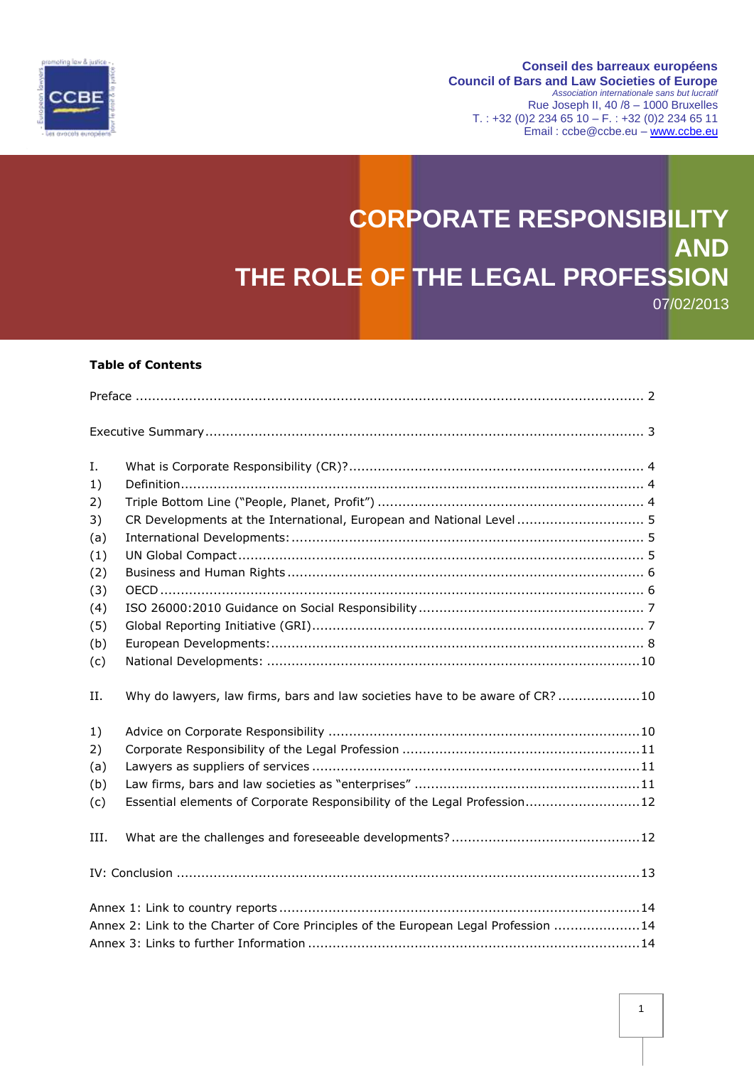

#### **Conseil des barreaux européens Council of Bars and Law Societies of Europe** *Association internationale sans but lucratif* Rue Joseph II, 40 /8 – 1000 Bruxelles T. : +32 (0) 2 234 65 10 – F. : +32 (0) 2 234 65 11 Email : ccbe@ccbe.eu – [www.ccbe.eu](http://www.ccbe.eu/)

# **CORPORATE RESPONSIBILITY AND THE ROLE OF THE LEGAL PROFESSION** 07/02/2013

## **Table of Contents**

| Ι.                                                                                   |                                                                              |
|--------------------------------------------------------------------------------------|------------------------------------------------------------------------------|
| 1)                                                                                   |                                                                              |
| 2)                                                                                   |                                                                              |
| 3)                                                                                   | CR Developments at the International, European and National Level  5         |
| (a)                                                                                  |                                                                              |
| (1)                                                                                  |                                                                              |
| (2)                                                                                  |                                                                              |
| (3)                                                                                  |                                                                              |
| (4)                                                                                  |                                                                              |
| (5)                                                                                  |                                                                              |
| (b)                                                                                  |                                                                              |
| (c)                                                                                  |                                                                              |
| Н.                                                                                   | Why do lawyers, law firms, bars and law societies have to be aware of CR? 10 |
| 1)                                                                                   |                                                                              |
| 2)                                                                                   |                                                                              |
| (a)                                                                                  |                                                                              |
| (b)                                                                                  |                                                                              |
| (c)                                                                                  | Essential elements of Corporate Responsibility of the Legal Profession12     |
| III.                                                                                 |                                                                              |
|                                                                                      |                                                                              |
|                                                                                      |                                                                              |
| Annex 2: Link to the Charter of Core Principles of the European Legal Profession  14 |                                                                              |
|                                                                                      |                                                                              |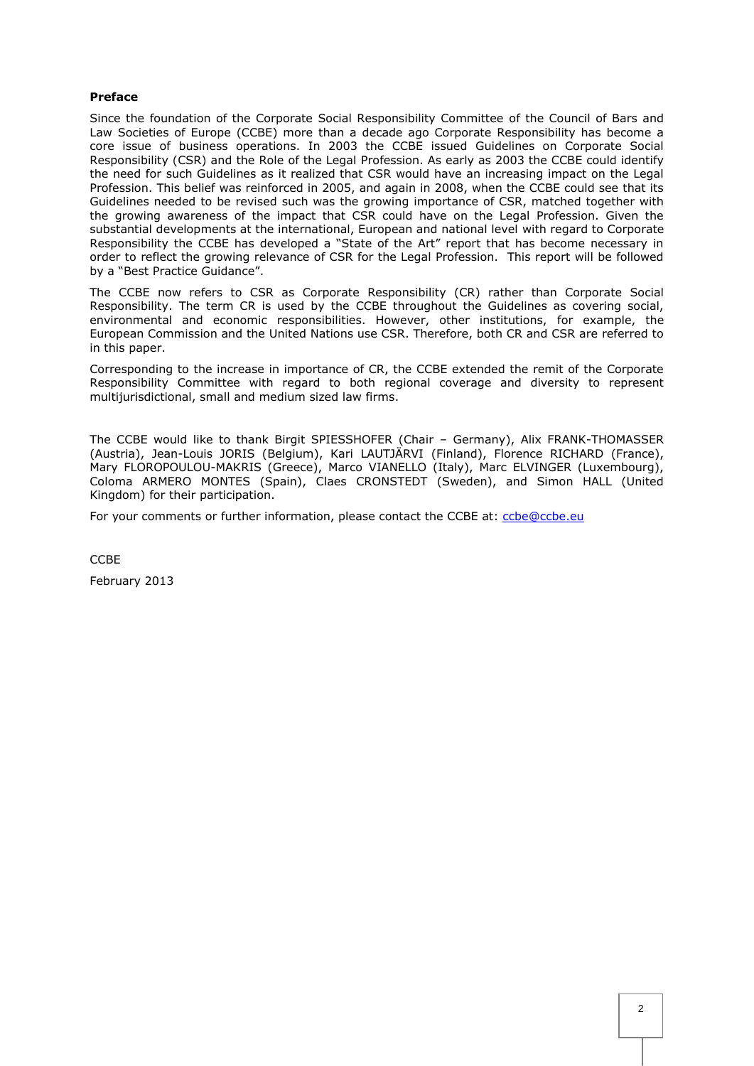## <span id="page-1-0"></span>**Preface**

Since the foundation of the Corporate Social Responsibility Committee of the Council of Bars and Law Societies of Europe (CCBE) more than a decade ago Corporate Responsibility has become a core issue of business operations. In 2003 the CCBE issued Guidelines on Corporate Social Responsibility (CSR) and the Role of the Legal Profession. As early as 2003 the CCBE could identify the need for such Guidelines as it realized that CSR would have an increasing impact on the Legal Profession. This belief was reinforced in 2005, and again in 2008, when the CCBE could see that its Guidelines needed to be revised such was the growing importance of CSR, matched together with the growing awareness of the impact that CSR could have on the Legal Profession. Given the substantial developments at the international, European and national level with regard to Corporate Responsibility the CCBE has developed a "State of the Art" report that has become necessary in order to reflect the growing relevance of CSR for the Legal Profession. This report will be followed by a "Best Practice Guidance".

The CCBE now refers to CSR as Corporate Responsibility (CR) rather than Corporate Social Responsibility. The term CR is used by the CCBE throughout the Guidelines as covering social, environmental and economic responsibilities. However, other institutions, for example, the European Commission and the United Nations use CSR. Therefore, both CR and CSR are referred to in this paper.

Corresponding to the increase in importance of CR, the CCBE extended the remit of the Corporate Responsibility Committee with regard to both regional coverage and diversity to represent multijurisdictional, small and medium sized law firms.

The CCBE would like to thank Birgit SPIESSHOFER (Chair – Germany), Alix FRANK-THOMASSER (Austria), Jean-Louis JORIS (Belgium), Kari LAUTJÄRVI (Finland), Florence RICHARD (France), Mary FLOROPOULOU-MAKRIS (Greece), Marco VIANELLO (Italy), Marc ELVINGER (Luxembourg), Coloma ARMERO MONTES (Spain), Claes CRONSTEDT (Sweden), and Simon HALL (United Kingdom) for their participation.

For your comments or further information, please contact the CCBE at: [ccbe@ccbe.eu](mailto:ccbe@ccbe.eu)

CCBE

February 2013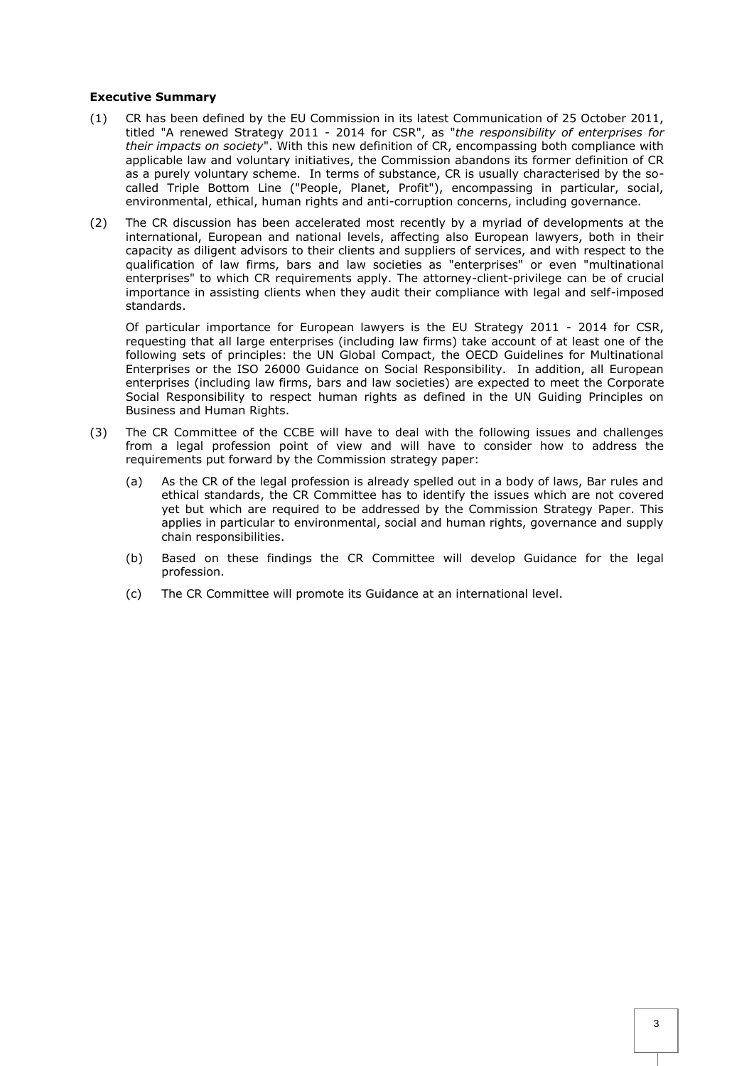## <span id="page-2-0"></span>**Executive Summary**

- (1) CR has been defined by the EU Commission in its latest Communication of 25 October 2011, titled "A renewed Strategy 2011 - 2014 for CSR", as "*the responsibility of enterprises for their impacts on society*". With this new definition of CR, encompassing both compliance with applicable law and voluntary initiatives, the Commission abandons its former definition of CR as a purely voluntary scheme. In terms of substance, CR is usually characterised by the socalled Triple Bottom Line ("People, Planet, Profit"), encompassing in particular, social, environmental, ethical, human rights and anti-corruption concerns, including governance.
- (2) The CR discussion has been accelerated most recently by a myriad of developments at the international, European and national levels, affecting also European lawyers, both in their capacity as diligent advisors to their clients and suppliers of services, and with respect to the qualification of law firms, bars and law societies as "enterprises" or even "multinational enterprises" to which CR requirements apply. The attorney-client-privilege can be of crucial importance in assisting clients when they audit their compliance with legal and self-imposed standards.

Of particular importance for European lawyers is the EU Strategy 2011 - 2014 for CSR, requesting that all large enterprises (including law firms) take account of at least one of the following sets of principles: the UN Global Compact, the OECD Guidelines for Multinational Enterprises or the ISO 26000 Guidance on Social Responsibility. In addition, all European enterprises (including law firms, bars and law societies) are expected to meet the Corporate Social Responsibility to respect human rights as defined in the UN Guiding Principles on Business and Human Rights.

- (3) The CR Committee of the CCBE will have to deal with the following issues and challenges from a legal profession point of view and will have to consider how to address the requirements put forward by the Commission strategy paper:
	- (a) As the CR of the legal profession is already spelled out in a body of laws, Bar rules and ethical standards, the CR Committee has to identify the issues which are not covered yet but which are required to be addressed by the Commission Strategy Paper. This applies in particular to environmental, social and human rights, governance and supply chain responsibilities.
	- (b) Based on these findings the CR Committee will develop Guidance for the legal profession.
	- (c) The CR Committee will promote its Guidance at an international level.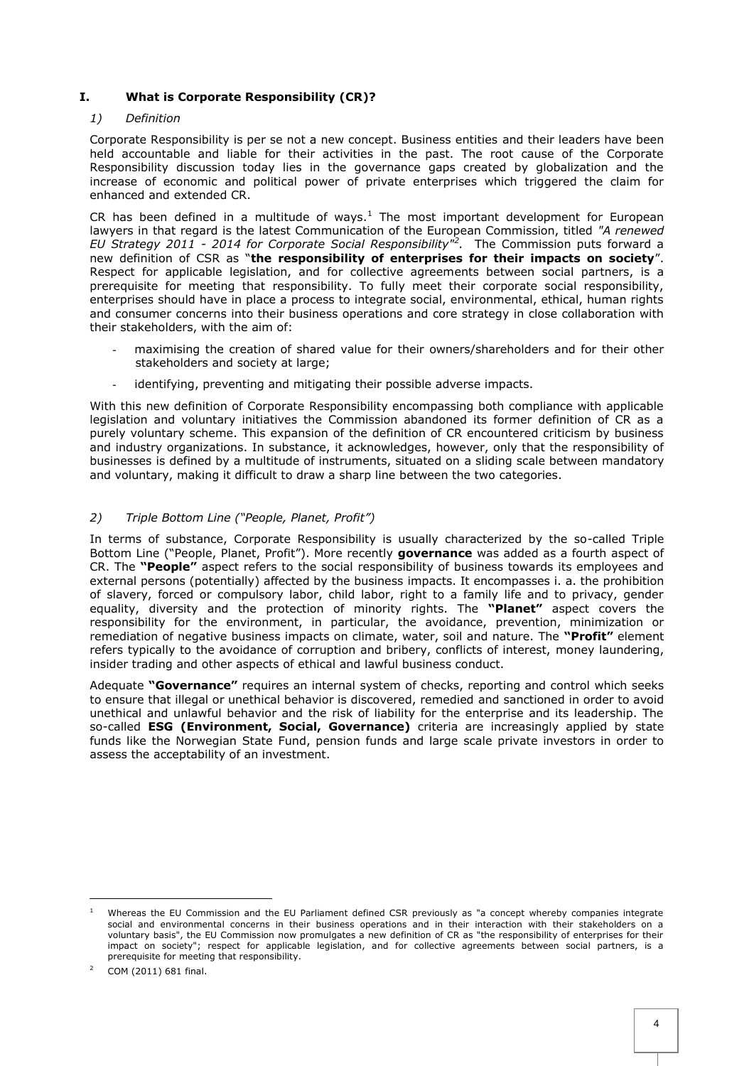# <span id="page-3-0"></span>**I. What is Corporate Responsibility (CR)?**

## <span id="page-3-1"></span>*1) Definition*

Corporate Responsibility is per se not a new concept. Business entities and their leaders have been held accountable and liable for their activities in the past. The root cause of the Corporate Responsibility discussion today lies in the governance gaps created by globalization and the increase of economic and political power of private enterprises which triggered the claim for enhanced and extended CR.

CR has been defined in a multitude of ways.<sup>1</sup> The most important development for European lawyers in that regard is the latest Communication of the European Commission, titled *"A renewed EU Strategy 2011 - 2014 for Corporate Social Responsibility"<sup>2</sup> .* The Commission puts forward a new definition of CSR as "**the responsibility of enterprises for their impacts on society**". Respect for applicable legislation, and for collective agreements between social partners, is a prerequisite for meeting that responsibility. To fully meet their corporate social responsibility, enterprises should have in place a process to integrate social, environmental, ethical, human rights and consumer concerns into their business operations and core strategy in close collaboration with their stakeholders, with the aim of:

- maximising the creation of shared value for their owners/shareholders and for their other stakeholders and society at large;
- identifying, preventing and mitigating their possible adverse impacts.

With this new definition of Corporate Responsibility encompassing both compliance with applicable legislation and voluntary initiatives the Commission abandoned its former definition of CR as a purely voluntary scheme. This expansion of the definition of CR encountered criticism by business and industry organizations. In substance, it acknowledges, however, only that the responsibility of businesses is defined by a multitude of instruments, situated on a sliding scale between mandatory and voluntary, making it difficult to draw a sharp line between the two categories.

# <span id="page-3-2"></span>*2) Triple Bottom Line ("People, Planet, Profit")*

In terms of substance, Corporate Responsibility is usually characterized by the so-called Triple Bottom Line ("People, Planet, Profit"). More recently **governance** was added as a fourth aspect of CR. The **"People"** aspect refers to the social responsibility of business towards its employees and external persons (potentially) affected by the business impacts. It encompasses i. a. the prohibition of slavery, forced or compulsory labor, child labor, right to a family life and to privacy, gender equality, diversity and the protection of minority rights. The **"Planet"** aspect covers the responsibility for the environment, in particular, the avoidance, prevention, minimization or remediation of negative business impacts on climate, water, soil and nature. The **"Profit"** element refers typically to the avoidance of corruption and bribery, conflicts of interest, money laundering, insider trading and other aspects of ethical and lawful business conduct.

Adequate **"Governance"** requires an internal system of checks, reporting and control which seeks to ensure that illegal or unethical behavior is discovered, remedied and sanctioned in order to avoid unethical and unlawful behavior and the risk of liability for the enterprise and its leadership. The so-called **ESG (Environment, Social, Governance)** criteria are increasingly applied by state funds like the Norwegian State Fund, pension funds and large scale private investors in order to assess the acceptability of an investment.

l

<sup>1</sup> Whereas the EU Commission and the EU Parliament defined CSR previously as "a concept whereby companies integrate social and environmental concerns in their business operations and in their interaction with their stakeholders on a voluntary basis", the EU Commission now promulgates a new definition of CR as "the responsibility of enterprises for their impact on society"; respect for applicable legislation, and for collective agreements between social partners, is a prerequisite for meeting that responsibility.

COM (2011) 681 final.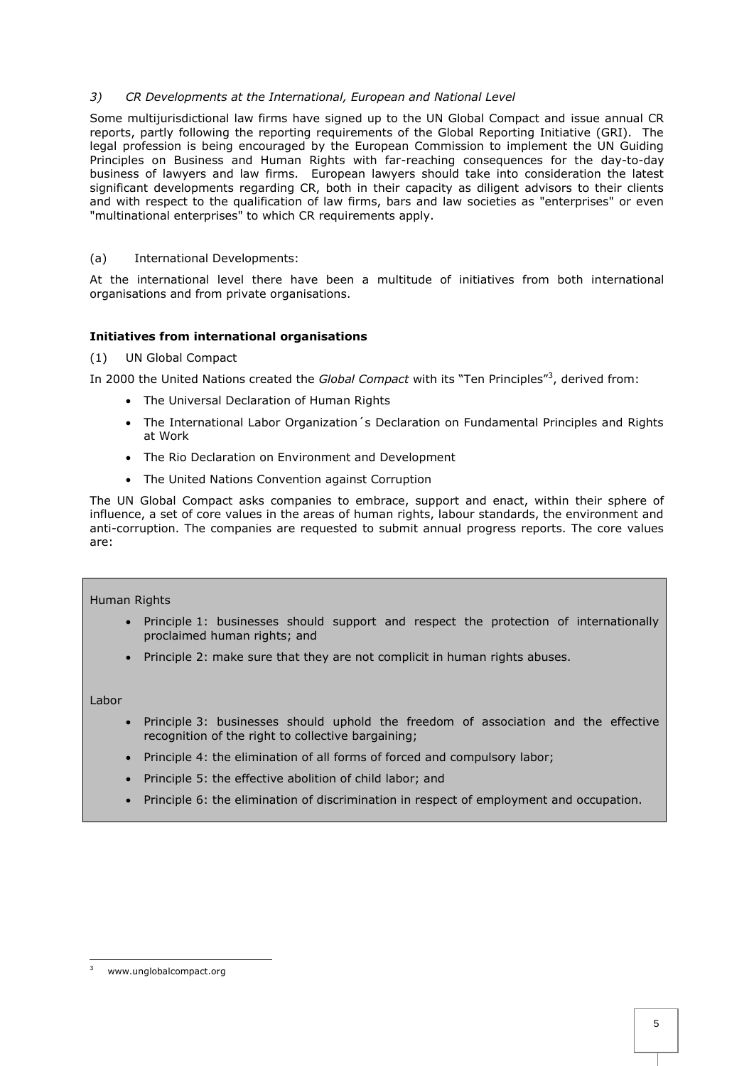# <span id="page-4-0"></span>*3) CR Developments at the International, European and National Level*

Some multijurisdictional law firms have signed up to the UN Global Compact and issue annual CR reports, partly following the reporting requirements of the Global Reporting Initiative (GRI). The legal profession is being encouraged by the European Commission to implement the UN Guiding Principles on Business and Human Rights with far-reaching consequences for the day-to-day business of lawyers and law firms. European lawyers should take into consideration the latest significant developments regarding CR, both in their capacity as diligent advisors to their clients and with respect to the qualification of law firms, bars and law societies as "enterprises" or even "multinational enterprises" to which CR requirements apply.

# <span id="page-4-1"></span>(a) International Developments:

At the international level there have been a multitude of initiatives from both international organisations and from private organisations.

# **Initiatives from international organisations**

## <span id="page-4-2"></span>(1) UN Global Compact

In 2000 the United Nations created the *Global Compact* with its "Ten Principles"<sup>3</sup> , derived from:

- The Universal Declaration of Human Rights
- The International Labor Organization's Declaration on Fundamental Principles and Rights at Work
- The Rio Declaration on Environment and Development
- The United Nations Convention against Corruption

The UN Global Compact asks companies to embrace, support and enact, within their sphere of influence, a set of core values in the areas of human rights, labour standards, the environment and anti-corruption. The companies are requested to submit annual progress reports. The core values are:

## Human Rights

- Principle 1: businesses should support and respect the protection of internationally proclaimed human rights; and
- Principle 2: make sure that they are not complicit in human rights abuses.

Labor

- Principle 3: businesses should uphold the freedom of association and the effective recognition of the right to collective bargaining;
- Principle 4: the elimination of all forms of forced and compulsory labor;
- Principle 5: the effective abolition of child labor; and
- Principle 6: the elimination of discrimination in respect of employment and occupation.

l www.unglobalcompact.org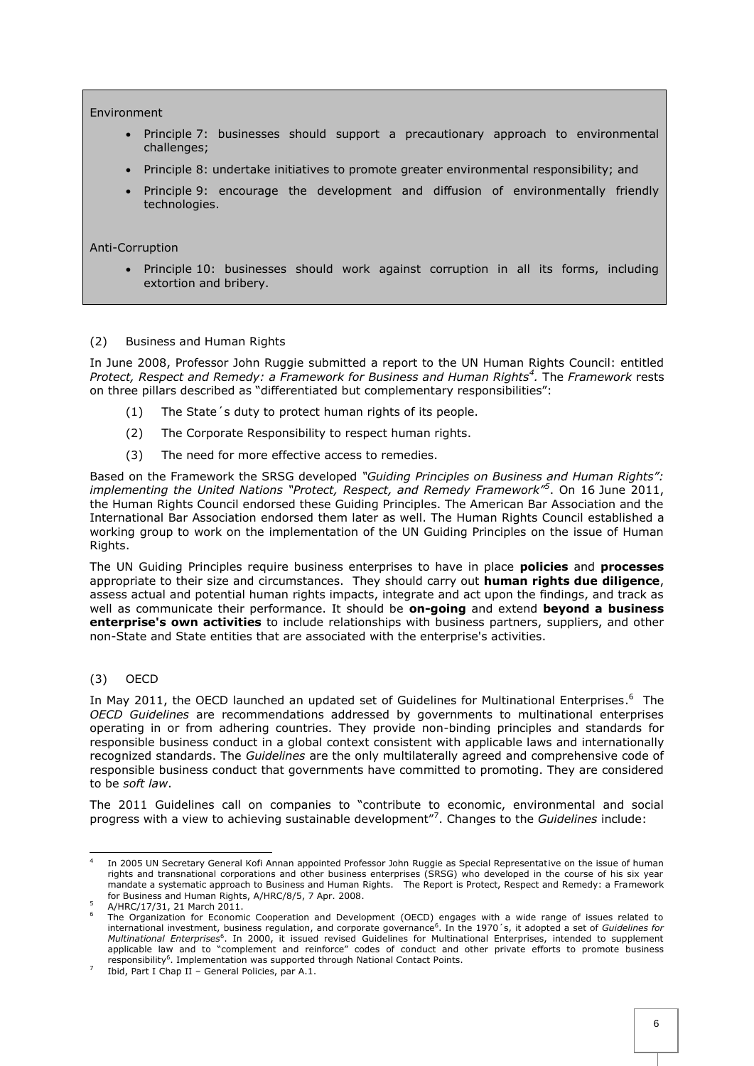#### Environment

- Principle 7: businesses should support a precautionary approach to environmental challenges;
- Principle 8: undertake initiatives to promote greater environmental responsibility; and
- Principle 9: encourage the development and diffusion of environmentally friendly technologies.

#### Anti-Corruption

 Principle 10: businesses should work against corruption in all its forms, including extortion and bribery.

## <span id="page-5-0"></span>(2) Business and Human Rights

In June 2008, Professor John Ruggie submitted a report to the UN Human Rights Council: entitled *Protect, Respect and Remedy: a Framework for Business and Human Rights<sup>4</sup> .* The *Framework* rests on three pillars described as "differentiated but complementary responsibilities":

- (1) The State´s duty to protect human rights of its people.
- (2) The Corporate Responsibility to respect human rights.
- (3) The need for more effective access to remedies.

Based on the Framework the SRSG developed *"Guiding Principles on Business and Human Rights": implementing the United Nations "Protect, Respect, and Remedy Framework"<sup>5</sup>* . On 16 June 2011, the Human Rights Council endorsed these Guiding Principles. The American Bar Association and the International Bar Association endorsed them later as well. The Human Rights Council established a working group to work on the implementation of the UN Guiding Principles on the issue of Human Rights.

The UN Guiding Principles require business enterprises to have in place **policies** and **processes** appropriate to their size and circumstances. They should carry out **human rights due diligence**, assess actual and potential human rights impacts, integrate and act upon the findings, and track as well as communicate their performance. It should be **on-going** and extend **beyond a business enterprise's own activities** to include relationships with business partners, suppliers, and other non-State and State entities that are associated with the enterprise's activities.

## <span id="page-5-1"></span>(3) OECD

In May 2011, the OECD launched an updated set of Guidelines for Multinational Enterprises.<sup>6</sup> The *OECD Guidelines* are recommendations addressed by governments to multinational enterprises operating in or from adhering countries. They provide non-binding principles and standards for responsible business conduct in a global context consistent with applicable laws and internationally recognized standards. The *Guidelines* are the only multilaterally agreed and comprehensive code of responsible business conduct that governments have committed to promoting. They are considered to be *soft law*.

The 2011 Guidelines call on companies to "contribute to economic, environmental and social progress with a view to achieving sustainable development"<sup>7</sup> . Changes to the *Guidelines* include:

l 4 In 2005 UN Secretary General Kofi Annan appointed Professor John Ruggie as Special Representative on the issue of human rights and transnational corporations and other business enterprises (SRSG) who developed in the course of his six year mandate a systematic approach to Business and Human Rights. The Report is Protect, Respect and Remedy: a Framework for Business and Human Rights, A/HRC/8/5, 7 Apr. 2008.

A/HRC/17/31, 21 March 2011.

<sup>&</sup>lt;sup>6</sup> The Organization for Economic Cooperation and Development (OECD) engages with a wide range of issues related to international investment, business regulation, and corporate governance<sup>6</sup>. In the 1970's, it adopted a set of *Guidelines for* Multinational Enterprises<sup>6</sup>. In 2000, it issued revised Guidelines for Multinational Enterprises, intended to supplement applicable law and to "complement and reinforce" codes of conduct and other private efforts to promote business responsibility<sup>6</sup>. Implementation was supported through National Contact Points.

<sup>7</sup> Ibid, Part I Chap II – General Policies, par A.1.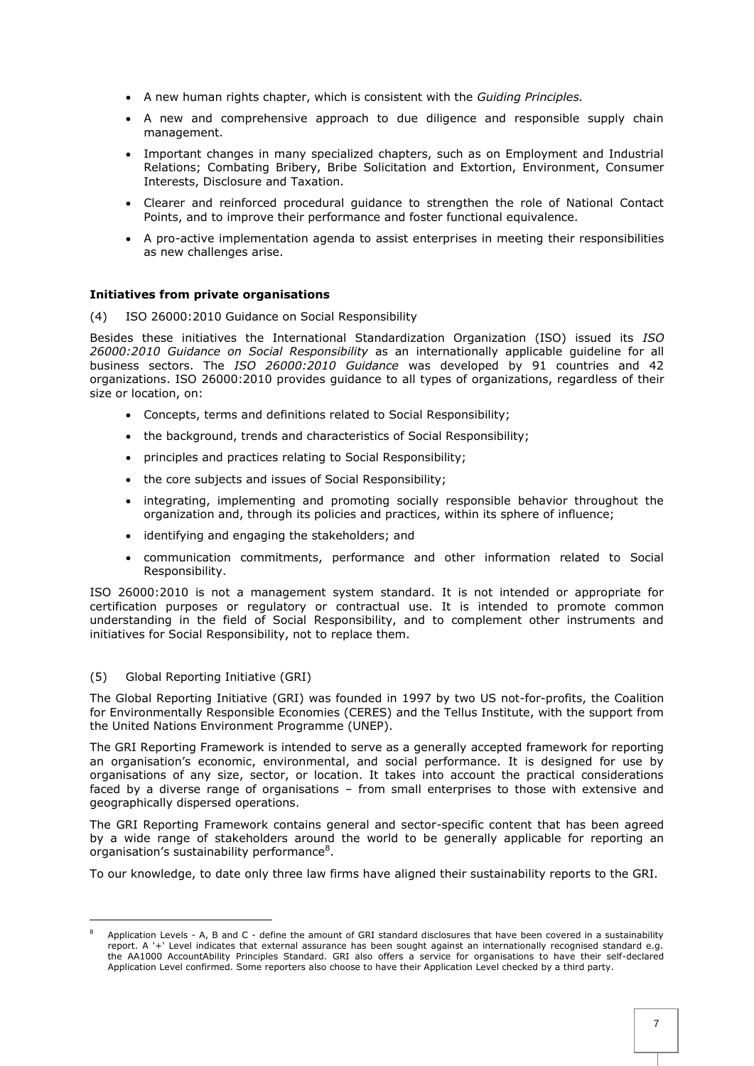- A new human rights chapter, which is consistent with the *Guiding Principles.*
- A new and comprehensive approach to due diligence and responsible supply chain management.
- Important changes in many specialized chapters, such as on Employment and Industrial Relations; Combating Bribery, Bribe Solicitation and Extortion, Environment, Consumer Interests, Disclosure and Taxation.
- Clearer and reinforced procedural guidance to strengthen the role of National Contact Points, and to improve their performance and foster functional equivalence.
- A pro-active implementation agenda to assist enterprises in meeting their responsibilities as new challenges arise.

#### **Initiatives from private organisations**

<span id="page-6-0"></span>(4) ISO 26000:2010 Guidance on Social Responsibility

Besides these initiatives the International Standardization Organization (ISO) issued its *ISO 26000:2010 Guidance on Social Responsibility* as an internationally applicable guideline for all business sectors. The *ISO 26000:2010 Guidance* was developed by 91 countries and 42 organizations. ISO 26000:2010 provides guidance to all types of organizations, regardless of their size or location, on:

- Concepts, terms and definitions related to Social Responsibility;
- the background, trends and characteristics of Social Responsibility;
- principles and practices relating to Social Responsibility;
- the core subjects and issues of Social Responsibility;
- integrating, implementing and promoting socially responsible behavior throughout the organization and, through its policies and practices, within its sphere of influence;
- identifying and engaging the stakeholders; and
- communication commitments, performance and other information related to Social Responsibility.

ISO 26000:2010 is not a management system standard. It is not intended or appropriate for certification purposes or regulatory or contractual use. It is intended to promote common understanding in the field of Social Responsibility, and to complement other instruments and initiatives for Social Responsibility, not to replace them.

#### <span id="page-6-1"></span>(5) Global Reporting Initiative (GRI)

l

The Global Reporting Initiative (GRI) was founded in 1997 by two US not-for-profits, the Coalition for Environmentally Responsible Economies (CERES) and the Tellus Institute, with the support from the United Nations Environment Programme (UNEP).

The GRI Reporting Framework is intended to serve as a generally accepted framework for reporting an organisation's economic, environmental, and social performance. It is designed for use by organisations of any size, sector, or location. It takes into account the practical considerations faced by a diverse range of organisations – from small enterprises to those with extensive and geographically dispersed operations.

The GRI Reporting Framework contains general and sector-specific content that has been agreed by a wide range of stakeholders around the world to be generally applicable for reporting an organisation's sustainability performance<sup>8</sup>.

To our knowledge, to date only three law firms have aligned their sustainability reports to the GRI.

Application Levels - A, B and C - define the amount of GRI standard disclosures that have been covered in a sustainability report. A '+' Level indicates that external assurance has been sought against an internationally recognised standard e.g. the AA1000 AccountAbility Principles Standard. GRI also offers a service for organisations to have their self-declared Application Level confirmed. Some reporters also choose to have their Application Level checked by a third party.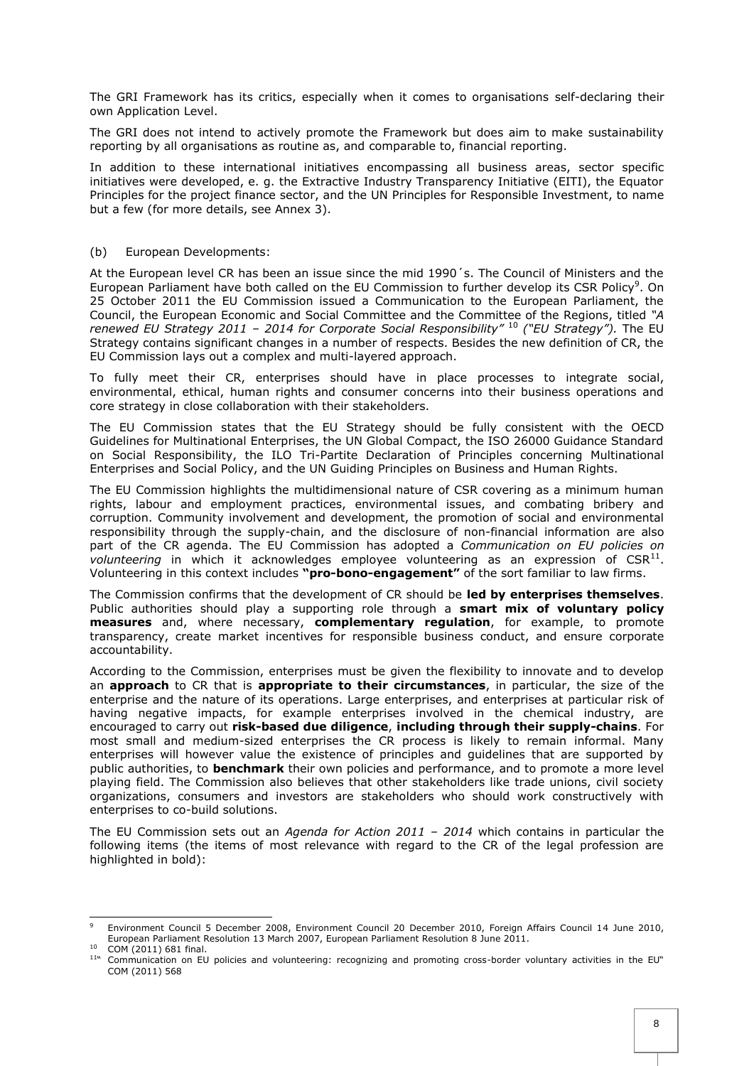The GRI Framework has its critics, especially when it comes to organisations self-declaring their own Application Level.

The GRI does not intend to actively promote the Framework but does aim to make sustainability reporting by all organisations as routine as, and comparable to, financial reporting.

In addition to these international initiatives encompassing all business areas, sector specific initiatives were developed, e. g. the Extractive Industry Transparency Initiative (EITI), the Equator Principles for the project finance sector, and the UN Principles for Responsible Investment, to name but a few (for more details, see Annex 3).

## <span id="page-7-0"></span>(b) European Developments:

At the European level CR has been an issue since the mid 1990´s. The Council of Ministers and the European Parliament have both called on the EU Commission to further develop its CSR Policy<sup>9</sup>. On 25 October 2011 the EU Commission issued a Communication to the European Parliament, the Council, the European Economic and Social Committee and the Committee of the Regions, titled *"A renewed EU Strategy 2011 – 2014 for Corporate Social Responsibility"* <sup>10</sup> *("EU Strategy").* The EU Strategy contains significant changes in a number of respects. Besides the new definition of CR, the EU Commission lays out a complex and multi-layered approach.

To fully meet their CR, enterprises should have in place processes to integrate social, environmental, ethical, human rights and consumer concerns into their business operations and core strategy in close collaboration with their stakeholders.

The EU Commission states that the EU Strategy should be fully consistent with the OECD Guidelines for Multinational Enterprises, the UN Global Compact, the ISO 26000 Guidance Standard on Social Responsibility, the ILO Tri-Partite Declaration of Principles concerning Multinational Enterprises and Social Policy, and the UN Guiding Principles on Business and Human Rights.

The EU Commission highlights the multidimensional nature of CSR covering as a minimum human rights, labour and employment practices, environmental issues, and combating bribery and corruption. Community involvement and development, the promotion of social and environmental responsibility through the supply-chain, and the disclosure of non-financial information are also part of the CR agenda. The EU Commission has adopted a *Communication on EU policies on* volunteering in which it acknowledges employee volunteering as an expression of CSR<sup>11</sup>. Volunteering in this context includes **"pro-bono-engagement"** of the sort familiar to law firms.

The Commission confirms that the development of CR should be **led by enterprises themselves**. Public authorities should play a supporting role through a **smart mix of voluntary policy measures** and, where necessary, **complementary regulation**, for example, to promote transparency, create market incentives for responsible business conduct, and ensure corporate accountability.

According to the Commission, enterprises must be given the flexibility to innovate and to develop an **approach** to CR that is **appropriate to their circumstances**, in particular, the size of the enterprise and the nature of its operations. Large enterprises, and enterprises at particular risk of having negative impacts, for example enterprises involved in the chemical industry, are encouraged to carry out **risk-based due diligence**, **including through their supply-chains**. For most small and medium-sized enterprises the CR process is likely to remain informal. Many enterprises will however value the existence of principles and guidelines that are supported by public authorities, to **benchmark** their own policies and performance, and to promote a more level playing field. The Commission also believes that other stakeholders like trade unions, civil society organizations, consumers and investors are stakeholders who should work constructively with enterprises to co-build solutions.

The EU Commission sets out an *Agenda for Action 2011 – 2014* which contains in particular the following items (the items of most relevance with regard to the CR of the legal profession are highlighted in bold):

 $\overline{9}$ <sup>9</sup> Environment Council 5 December 2008, Environment Council 20 December 2010, Foreign Affairs Council 14 June 2010, European Parliament Resolution 13 March 2007, European Parliament Resolution 8 June 2011.

<sup>10</sup> COM (2011) 681 final. 11

<sup>&</sup>quot; Communication on EU policies and volunteering: recognizing and promoting cross-border voluntary activities in the EU" COM (2011) 568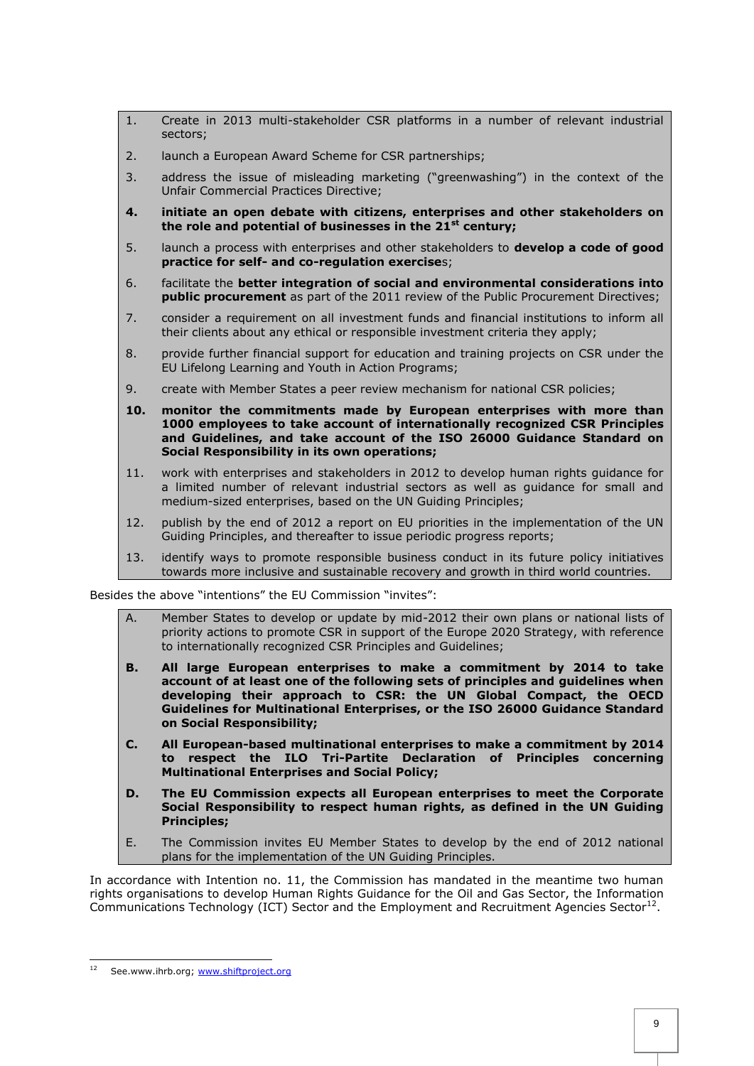- 1. Create in 2013 multi-stakeholder CSR platforms in a number of relevant industrial sectors;
- 2. launch a European Award Scheme for CSR partnerships;
- 3. address the issue of misleading marketing ("greenwashing") in the context of the Unfair Commercial Practices Directive;
- **4. initiate an open debate with citizens, enterprises and other stakeholders on the role and potential of businesses in the 21st century;**
- 5. launch a process with enterprises and other stakeholders to **develop a code of good practice for self- and co-regulation exercise**s;
- 6. facilitate the **better integration of social and environmental considerations into public procurement** as part of the 2011 review of the Public Procurement Directives;
- 7. consider a requirement on all investment funds and financial institutions to inform all their clients about any ethical or responsible investment criteria they apply;
- 8. provide further financial support for education and training projects on CSR under the EU Lifelong Learning and Youth in Action Programs;
- 9. create with Member States a peer review mechanism for national CSR policies;
- **10. monitor the commitments made by European enterprises with more than 1000 employees to take account of internationally recognized CSR Principles and Guidelines, and take account of the ISO 26000 Guidance Standard on Social Responsibility in its own operations;**
- 11. work with enterprises and stakeholders in 2012 to develop human rights guidance for a limited number of relevant industrial sectors as well as guidance for small and medium-sized enterprises, based on the UN Guiding Principles;
- 12. publish by the end of 2012 a report on EU priorities in the implementation of the UN Guiding Principles, and thereafter to issue periodic progress reports;
- 13. identify ways to promote responsible business conduct in its future policy initiatives towards more inclusive and sustainable recovery and growth in third world countries.

Besides the above "intentions" the EU Commission "invites":

- Member States to develop or update by mid-2012 their own plans or national lists of priority actions to promote CSR in support of the Europe 2020 Strategy, with reference to internationally recognized CSR Principles and Guidelines;
- **B. All large European enterprises to make a commitment by 2014 to take account of at least one of the following sets of principles and guidelines when developing their approach to CSR: the UN Global Compact, the OECD Guidelines for Multinational Enterprises, or the ISO 26000 Guidance Standard on Social Responsibility;**
- **C. All European-based multinational enterprises to make a commitment by 2014 to respect the ILO Tri-Partite Declaration of Principles concerning Multinational Enterprises and Social Policy;**
- **D. The EU Commission expects all European enterprises to meet the Corporate Social Responsibility to respect human rights, as defined in the UN Guiding Principles;**
- E. The Commission invites EU Member States to develop by the end of 2012 national plans for the implementation of the UN Guiding Principles.

In accordance with Intention no. 11, the Commission has mandated in the meantime two human rights organisations to develop Human Rights Guidance for the Oil and Gas Sector, the Information Communications Technology (ICT) Sector and the Employment and Recruitment Agencies Sector<sup>12</sup>.

<span id="page-8-0"></span> $12$ See.www.ihrb.org; www.shiftproject.org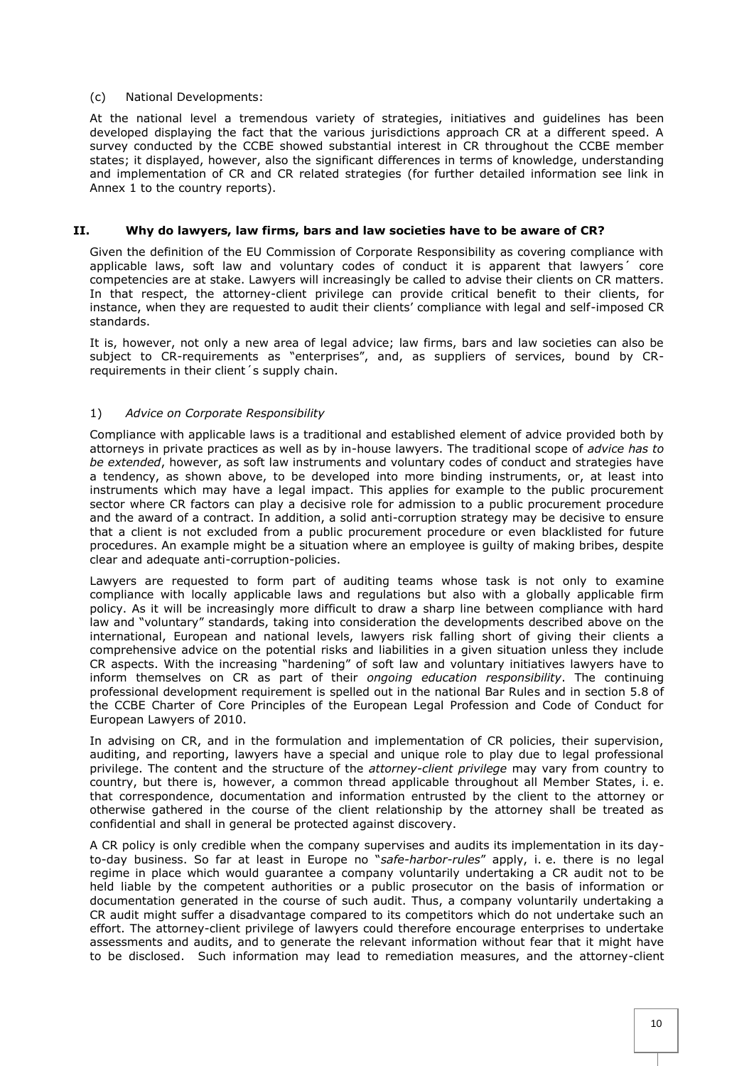#### (c) National Developments:

At the national level a tremendous variety of strategies, initiatives and guidelines has been developed displaying the fact that the various jurisdictions approach CR at a different speed. A survey conducted by the CCBE showed substantial interest in CR throughout the CCBE member states; it displayed, however, also the significant differences in terms of knowledge, understanding and implementation of CR and CR related strategies (for further detailed information see link in Annex 1 to the country reports).

## <span id="page-9-0"></span>**II. Why do lawyers, law firms, bars and law societies have to be aware of CR?**

Given the definition of the EU Commission of Corporate Responsibility as covering compliance with applicable laws, soft law and voluntary codes of conduct it is apparent that lawyers´ core competencies are at stake. Lawyers will increasingly be called to advise their clients on CR matters. In that respect, the attorney-client privilege can provide critical benefit to their clients, for instance, when they are requested to audit their clients' compliance with legal and self-imposed CR standards.

It is, however, not only a new area of legal advice; law firms, bars and law societies can also be subject to CR-requirements as "enterprises", and, as suppliers of services, bound by CRrequirements in their client´s supply chain.

## <span id="page-9-1"></span>1) *Advice on Corporate Responsibility*

Compliance with applicable laws is a traditional and established element of advice provided both by attorneys in private practices as well as by in-house lawyers. The traditional scope of *advice has to be extended*, however, as soft law instruments and voluntary codes of conduct and strategies have a tendency, as shown above, to be developed into more binding instruments, or, at least into instruments which may have a legal impact. This applies for example to the public procurement sector where CR factors can play a decisive role for admission to a public procurement procedure and the award of a contract. In addition, a solid anti-corruption strategy may be decisive to ensure that a client is not excluded from a public procurement procedure or even blacklisted for future procedures. An example might be a situation where an employee is guilty of making bribes, despite clear and adequate anti-corruption-policies.

Lawyers are requested to form part of auditing teams whose task is not only to examine compliance with locally applicable laws and regulations but also with a globally applicable firm policy. As it will be increasingly more difficult to draw a sharp line between compliance with hard law and "voluntary" standards, taking into consideration the developments described above on the international, European and national levels, lawyers risk falling short of giving their clients a comprehensive advice on the potential risks and liabilities in a given situation unless they include CR aspects. With the increasing "hardening" of soft law and voluntary initiatives lawyers have to inform themselves on CR as part of their *ongoing education responsibility*. The continuing professional development requirement is spelled out in the national Bar Rules and in section 5.8 of the CCBE Charter of Core Principles of the European Legal Profession and Code of Conduct for European Lawyers of 2010.

In advising on CR, and in the formulation and implementation of CR policies, their supervision, auditing, and reporting, lawyers have a special and unique role to play due to legal professional privilege. The content and the structure of the *attorney-client privilege* may vary from country to country, but there is, however, a common thread applicable throughout all Member States, i. e. that correspondence, documentation and information entrusted by the client to the attorney or otherwise gathered in the course of the client relationship by the attorney shall be treated as confidential and shall in general be protected against discovery.

A CR policy is only credible when the company supervises and audits its implementation in its dayto-day business. So far at least in Europe no "*safe-harbor-rules*" apply, i. e. there is no legal regime in place which would guarantee a company voluntarily undertaking a CR audit not to be held liable by the competent authorities or a public prosecutor on the basis of information or documentation generated in the course of such audit. Thus, a company voluntarily undertaking a CR audit might suffer a disadvantage compared to its competitors which do not undertake such an effort. The attorney-client privilege of lawyers could therefore encourage enterprises to undertake assessments and audits, and to generate the relevant information without fear that it might have to be disclosed. Such information may lead to remediation measures, and the attorney-client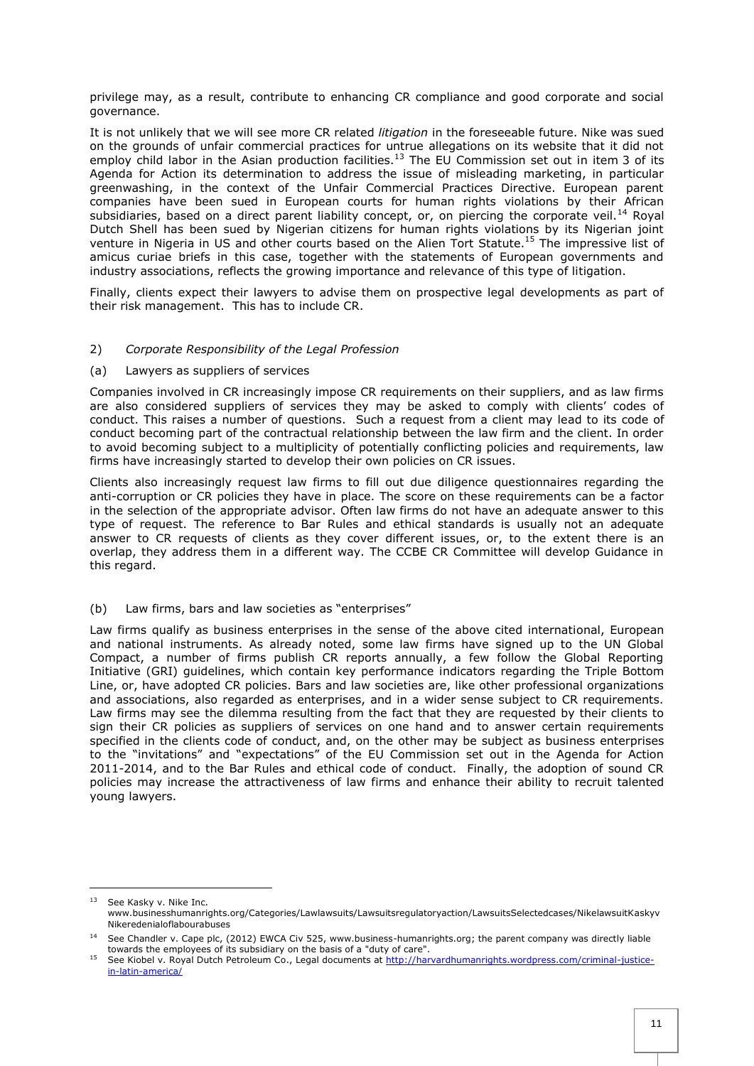privilege may, as a result, contribute to enhancing CR compliance and good corporate and social governance.

It is not unlikely that we will see more CR related *litigation* in the foreseeable future. Nike was sued on the grounds of unfair commercial practices for untrue allegations on its website that it did not employ child labor in the Asian production facilities.<sup>13</sup> The EU Commission set out in item 3 of its Agenda for Action its determination to address the issue of misleading marketing, in particular greenwashing, in the context of the Unfair Commercial Practices Directive. European parent companies have been sued in European courts for human rights violations by their African subsidiaries, based on a direct parent liability concept, or, on piercing the corporate veil.<sup>14</sup> Royal Dutch Shell has been sued by Nigerian citizens for human rights violations by its Nigerian joint venture in Nigeria in US and other courts based on the Alien Tort Statute.<sup>15</sup> The impressive list of amicus curiae briefs in this case, together with the statements of European governments and industry associations, reflects the growing importance and relevance of this type of litigation.

Finally, clients expect their lawyers to advise them on prospective legal developments as part of their risk management. This has to include CR.

#### <span id="page-10-0"></span>2) *Corporate Responsibility of the Legal Profession*

#### <span id="page-10-1"></span>(a) Lawyers as suppliers of services

<span id="page-10-3"></span>l

Companies involved in CR increasingly impose CR requirements on their suppliers, and as law firms are also considered suppliers of services they may be asked to comply with clients' codes of conduct. This raises a number of questions. Such a request from a client may lead to its code of conduct becoming part of the contractual relationship between the law firm and the client. In order to avoid becoming subject to a multiplicity of potentially conflicting policies and requirements, law firms have increasingly started to develop their own policies on CR issues.

Clients also increasingly request law firms to fill out due diligence questionnaires regarding the anti-corruption or CR policies they have in place. The score on these requirements can be a factor in the selection of the appropriate advisor. Often law firms do not have an adequate answer to this type of request. The reference to Bar Rules and ethical standards is usually not an adequate answer to CR requests of clients as they cover different issues, or, to the extent there is an overlap, they address them in a different way. The CCBE CR Committee will develop Guidance in this regard.

## <span id="page-10-2"></span>(b) Law firms, bars and law societies as "enterprises"

Law firms qualify as business enterprises in the sense of the above cited international, European and national instruments. As already noted, some law firms have signed up to the UN Global Compact, a number of firms publish CR reports annually, a few follow the Global Reporting Initiative (GRI) guidelines, which contain key performance indicators regarding the Triple Bottom Line, or, have adopted CR policies. Bars and law societies are, like other professional organizations and associations, also regarded as enterprises, and in a wider sense subject to CR requirements. Law firms may see the dilemma resulting from the fact that they are requested by their clients to sign their CR policies as suppliers of services on one hand and to answer certain requirements specified in the clients code of conduct, and, on the other may be subject as business enterprises to the "invitations" and "expectations" of the EU Commission set out in the Agenda for Action 2011-2014, and to the Bar Rules and ethical code of conduct. Finally, the adoption of sound CR policies may increase the attractiveness of law firms and enhance their ability to recruit talented young lawyers.

<sup>&</sup>lt;sup>13</sup> See Kasky v. Nike Inc. www.businesshumanrights.org/Categories/Lawlawsuits/Lawsuitsregulatoryaction/LawsuitsSelectedcases/NikelawsuitKaskyv Nikeredenialoflabourabuses

<sup>&</sup>lt;sup>14</sup> See Chandler v. Cape plc, (2012) EWCA Civ 525, www.business-humanrights.org; the parent company was directly liable towards the employees of its subsidiary on the basis of a "duty of care".

<sup>&</sup>lt;sup>15</sup> See Kiobel v. Royal Dutch Petroleum Co., Legal documents at [http://harvardhumanrights.wordpress.com/criminal-justice](http://harvardhumanrights.wordpress.com/criminal-justice-in-latin-america/)[in-latin-america/](http://harvardhumanrights.wordpress.com/criminal-justice-in-latin-america/)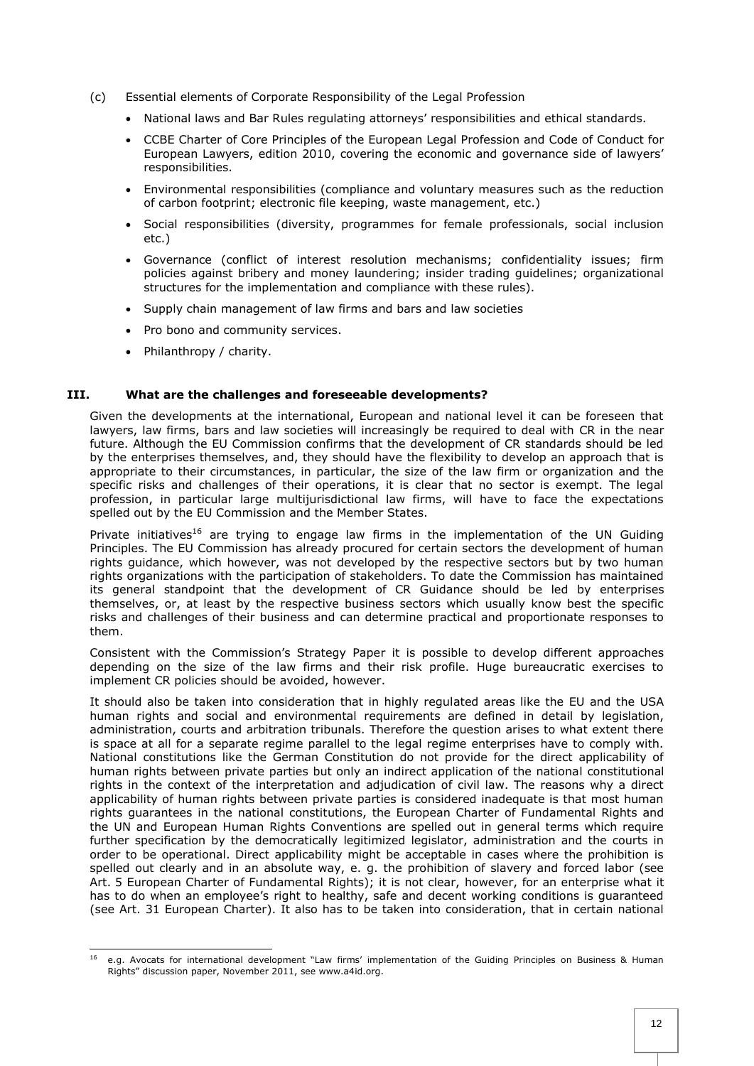- (c) Essential elements of Corporate Responsibility of the Legal Profession
	- National laws and Bar Rules regulating attorneys' responsibilities and ethical standards.
	- CCBE Charter of Core Principles of the European Legal Profession and Code of Conduct for European Lawyers, edition 2010, covering the economic and governance side of lawyers' responsibilities.
	- Environmental responsibilities (compliance and voluntary measures such as the reduction of carbon footprint; electronic file keeping, waste management, etc.)
	- Social responsibilities (diversity, programmes for female professionals, social inclusion etc.)
	- Governance (conflict of interest resolution mechanisms; confidentiality issues; firm policies against bribery and money laundering; insider trading guidelines; organizational structures for the implementation and compliance with these rules).
	- Supply chain management of law firms and bars and law societies
	- Pro bono and community services.
	- Philanthropy / charity.

#### <span id="page-11-0"></span>**III. What are the challenges and foreseeable developments?**

Given the developments at the international, European and national level it can be foreseen that lawyers, law firms, bars and law societies will increasingly be required to deal with CR in the near future. Although the EU Commission confirms that the development of CR standards should be led by the enterprises themselves, and, they should have the flexibility to develop an approach that is appropriate to their circumstances, in particular, the size of the law firm or organization and the specific risks and challenges of their operations, it is clear that no sector is exempt. The legal profession, in particular large multijurisdictional law firms, will have to face the expectations spelled out by the EU Commission and the Member States.

Private initiatives<sup>16</sup> are trying to engage law firms in the implementation of the UN Guiding Principles. The EU Commission has already procured for certain sectors the development of human rights guidance, which however, was not developed by the respective sectors but by two human rights organizations with the participation of stakeholders. To date the Commission has maintained its general standpoint that the development of CR Guidance should be led by enterprises themselves, or, at least by the respective business sectors which usually know best the specific risks and challenges of their business and can determine practical and proportionate responses to them.

Consistent with the Commission's Strategy Paper it is possible to develop different approaches depending on the size of the law firms and their risk profile. Huge bureaucratic exercises to implement CR policies should be avoided, however.

It should also be taken into consideration that in highly regulated areas like the EU and the USA human rights and social and environmental requirements are defined in detail by legislation, administration, courts and arbitration tribunals. Therefore the question arises to what extent there is space at all for a separate regime parallel to the legal regime enterprises have to comply with. National constitutions like the German Constitution do not provide for the direct applicability of human rights between private parties but only an indirect application of the national constitutional rights in the context of the interpretation and adjudication of civil law. The reasons why a direct applicability of human rights between private parties is considered inadequate is that most human rights guarantees in the national constitutions, the European Charter of Fundamental Rights and the UN and European Human Rights Conventions are spelled out in general terms which require further specification by the democratically legitimized legislator, administration and the courts in order to be operational. Direct applicability might be acceptable in cases where the prohibition is spelled out clearly and in an absolute way, e. g. the prohibition of slavery and forced labor (see Art. 5 European Charter of Fundamental Rights); it is not clear, however, for an enterprise what it has to do when an employee's right to healthy, safe and decent working conditions is guaranteed (see Art. 31 European Charter). It also has to be taken into consideration, that in certain national

<sup>16</sup> <sup>16</sup> e.g. Avocats for international development "Law firms' implementation of the Guiding Principles on Business & Human Rights" discussion paper, November 2011, see www.a4id.org.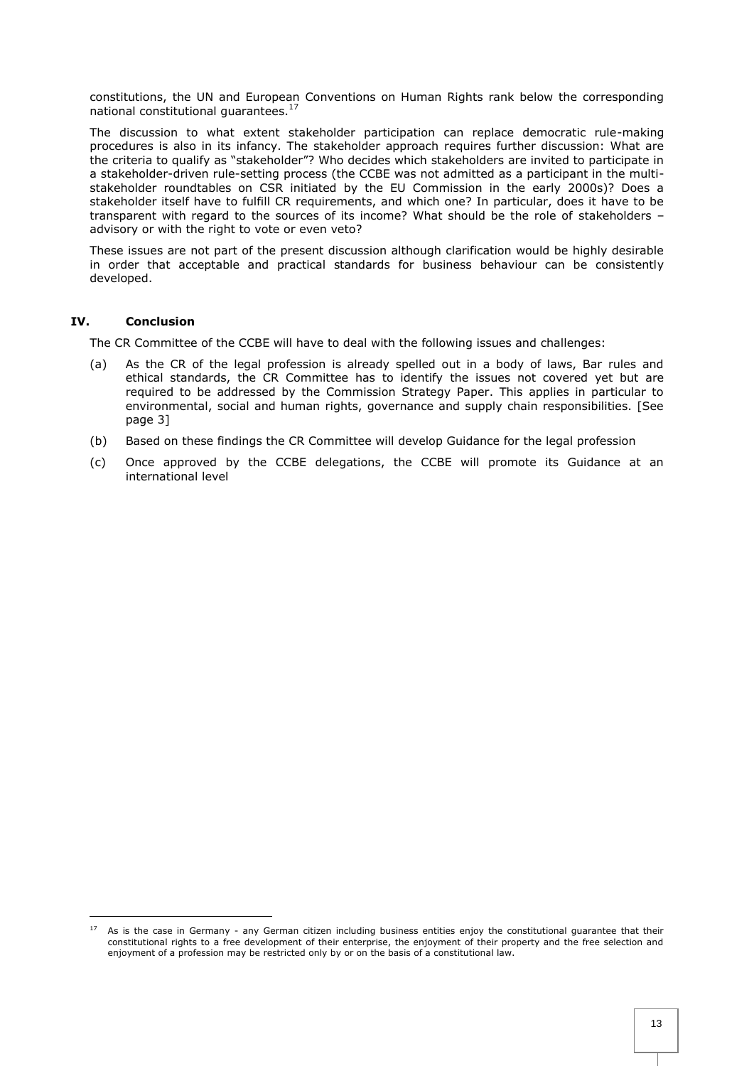constitutions, the UN and European Conventions on Human Rights rank below the corresponding national constitutional guarantees.<sup>17</sup>

The discussion to what extent stakeholder participation can replace democratic rule-making procedures is also in its infancy. The stakeholder approach requires further discussion: What are the criteria to qualify as "stakeholder"? Who decides which stakeholders are invited to participate in a stakeholder-driven rule-setting process (the CCBE was not admitted as a participant in the multistakeholder roundtables on CSR initiated by the EU Commission in the early 2000s)? Does a stakeholder itself have to fulfill CR requirements, and which one? In particular, does it have to be transparent with regard to the sources of its income? What should be the role of stakeholders – advisory or with the right to vote or even veto?

These issues are not part of the present discussion although clarification would be highly desirable in order that acceptable and practical standards for business behaviour can be consistently developed.

## <span id="page-12-0"></span>**IV. Conclusion**

l

The CR Committee of the CCBE will have to deal with the following issues and challenges:

- (a) As the CR of the legal profession is already spelled out in a body of laws, Bar rules and ethical standards, the CR Committee has to identify the issues not covered yet but are required to be addressed by the Commission Strategy Paper. This applies in particular to environmental, social and human rights, governance and supply chain responsibilities. [See page 3]
- (b) Based on these findings the CR Committee will develop Guidance for the legal profession
- (c) Once approved by the CCBE delegations, the CCBE will promote its Guidance at an international level

<sup>&</sup>lt;sup>17</sup> As is the case in Germany - any German citizen including business entities enjoy the constitutional guarantee that their constitutional rights to a free development of their enterprise, the enjoyment of their property and the free selection and enjoyment of a profession may be restricted only by or on the basis of a constitutional law.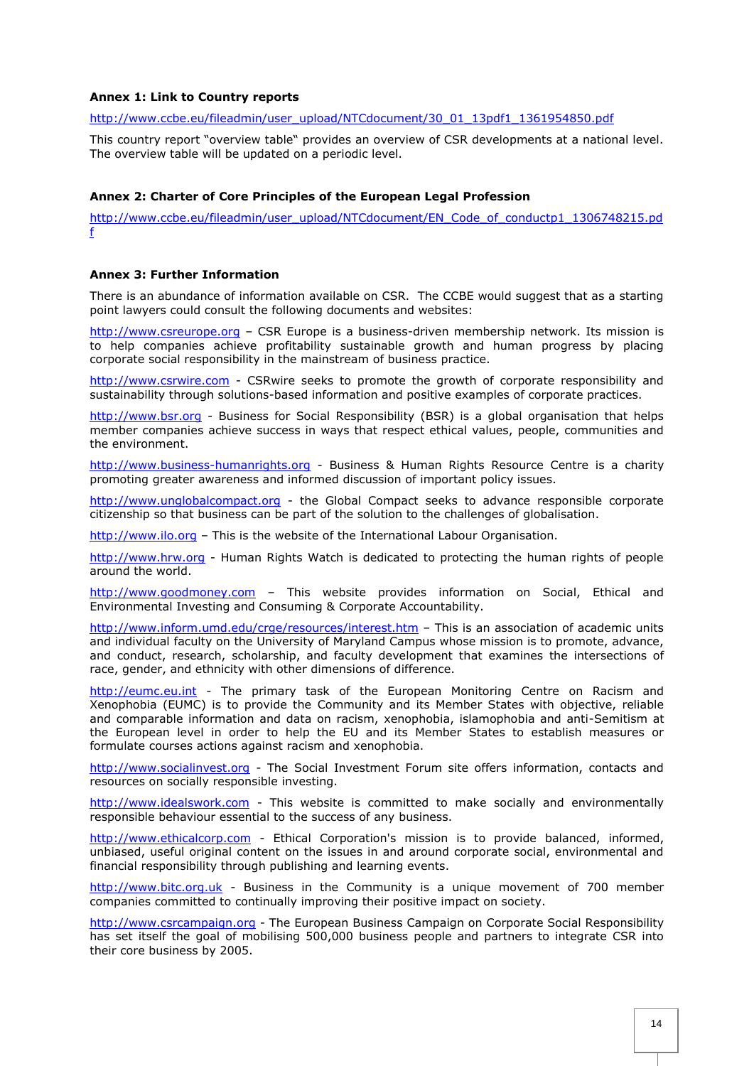## <span id="page-13-0"></span>**Annex 1: Link to Country reports**

[http://www.ccbe.eu/fileadmin/user\\_upload/NTCdocument/30\\_01\\_13pdf1\\_1361954850.pdf](http://www.ccbe.eu/fileadmin/user_upload/NTCdocument/30_01_13pdf1_1361954850.pdf)

This country report "overview table" provides an overview of CSR developments at a national level. The overview table will be updated on a periodic level.

## <span id="page-13-1"></span>**Annex 2: Charter of Core Principles of the European Legal Profession**

[http://www.ccbe.eu/fileadmin/user\\_upload/NTCdocument/EN\\_Code\\_of\\_conductp1\\_1306748215.pd](http://www.ccbe.eu/fileadmin/user_upload/NTCdocument/EN_Code_of_conductp1_1306748215.pdf) [f](http://www.ccbe.eu/fileadmin/user_upload/NTCdocument/EN_Code_of_conductp1_1306748215.pdf)

#### <span id="page-13-2"></span>**Annex 3: Further Information**

There is an abundance of information available on CSR. The CCBE would suggest that as a starting point lawyers could consult the following documents and websites:

[http://www.csreurope.org](http://www.csreurope.org/) – CSR Europe is a business-driven membership network. Its mission is to help companies achieve profitability sustainable growth and human progress by placing corporate social responsibility in the mainstream of business practice.

[http://www.csrwire.com](http://www.csrwire.com/) - CSRwire seeks to promote the growth of corporate responsibility and sustainability through solutions-based information and positive examples of corporate practices.

[http://www.bsr.org](http://www.bsr.org/) - Business for Social Responsibility (BSR) is a global organisation that helps member companies achieve success in ways that respect ethical values, people, communities and the environment.

[http://www.business-humanrights.org](http://www.business-humanrights.org/) - Business & Human Rights Resource Centre is a charity promoting greater awareness and informed discussion of important policy issues.

[http://www.unglobalcompact.org](http://www.unglobalcompact.org/Portal/) - the Global Compact seeks to advance responsible corporate citizenship so that business can be part of the solution to the challenges of globalisation.

[http://www.ilo.org](http://www.ilo.org/) – This is the website of the International Labour Organisation.

[http://www.hrw.org](http://www.hrw.org/advocacy/corporations/commentary.htm) - Human Rights Watch is dedicated to protecting the human rights of people around the world.

[http://www.goodmoney.com](http://www.goodmoney.com/directry_codes.htm) - This website provides information on Social, Ethical and Environmental Investing and Consuming & Corporate Accountability.

[http://www.inform.umd.edu/crge/resources/interest.htm](http://www.inform.umd.edu/crge/resources/interest.htm#diversity) - This is an association of academic units and individual faculty on the University of Maryland Campus whose mission is to promote, advance, and conduct, research, scholarship, and faculty development that examines the intersections of race, gender, and ethnicity with other dimensions of difference.

[http://eumc.eu.int](http://eumc.eu.int/) - The primary task of the European Monitoring Centre on Racism and Xenophobia (EUMC) is to provide the Community and its Member States with objective, reliable and comparable information and data on racism, xenophobia, islamophobia and anti-Semitism at the European level in order to help the EU and its Member States to establish measures or formulate courses actions against racism and xenophobia.

[http://www.socialinvest.org](http://www.socialinvest.org/) - The Social Investment Forum site offers information, contacts and resources on socially responsible investing.

[http://www.idealswork.com](http://www.idealswork.com/) - This website is committed to make socially and environmentally responsible behaviour essential to the success of any business.

[http://www.ethicalcorp.com](http://www.ethicalcorp.com/) - Ethical Corporation's mission is to provide balanced, informed, unbiased, useful original content on the issues in and around corporate social, environmental and financial responsibility through publishing and learning events.

[http://www.bitc.org.uk](http://www.bitc.org.uk/) - Business in the Community is a unique movement of 700 member companies committed to continually improving their positive impact on society.

[http://www.csrcampaign.org](http://www.csrcampaign.org/) - The European Business Campaign on Corporate Social Responsibility has set itself the goal of mobilising 500,000 business people and partners to integrate CSR into their core business by 2005.